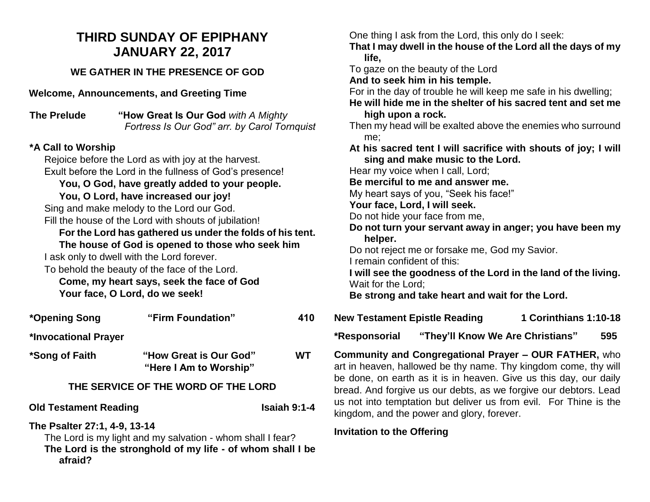# **THIRD SUNDAY OF EPIPHANY JANUARY 22, 2017**

## **WE GATHER IN THE PRESENCE OF GOD**

**Welcome, Announcements, and Greeting Time** 

**The Prelude "How Great Is Our God** *with A Mighty Fortress Is Our God" arr. by Carol Tornquist*

# **\*A Call to Worship**

Rejoice before the Lord as with joy at the harvest. Exult before the Lord in the fullness of God's presence! **You, O God, have greatly added to your people. You, O Lord, have increased our joy!** Sing and make melody to the Lord our God. Fill the house of the Lord with shouts of jubilation! **For the Lord has gathered us under the folds of his tent. The house of God is opened to those who seek him** I ask only to dwell with the Lord forever. To behold the beauty of the face of the Lord. **Come, my heart says, seek the face of God**

**Your face, O Lord, do we seek!**

| *Opening Song | "Firm Foundation" | 410 |
|---------------|-------------------|-----|
|               |                   |     |

**\*Invocational Prayer**

**\*Song of Faith "How Great is Our God" WT "Here I Am to Worship"**

#### **THE SERVICE OF THE WORD OF THE LORD**

**Old Testament Reading Isaiah 9:1-4** 

**The Psalter 27:1, 4-9, 13-14**

The Lord is my light and my salvation - whom shall I fear? **The Lord is the stronghold of my life - of whom shall I be afraid?**

One thing I ask from the Lord, this only do I seek: **That I may dwell in the house of the Lord all the days of my life,** To gaze on the beauty of the Lord **And to seek him in his temple.** For in the day of trouble he will keep me safe in his dwelling; **He will hide me in the shelter of his sacred tent and set me high upon a rock.** Then my head will be exalted above the enemies who surround me; **At his sacred tent I will sacrifice with shouts of joy; I will sing and make music to the Lord.** Hear my voice when I call, Lord; **Be merciful to me and answer me.** My heart says of you, "Seek his face!" **Your face, Lord, I will seek.** Do not hide your face from me, **Do not turn your servant away in anger; you have been my helper.** Do not reject me or forsake me, God my Savior. I remain confident of this: **I will see the goodness of the Lord in the land of the living.** Wait for the Lord; **Be strong and take heart and wait for the Lord.**

**New Testament Epistle Reading 1 Corinthians 1:10-18** 

**\*Responsorial "They'll Know We Are Christians" 595**

**Community and Congregational Prayer – OUR FATHER,** who art in heaven, hallowed be thy name. Thy kingdom come, thy will be done, on earth as it is in heaven. Give us this day, our daily bread. And forgive us our debts, as we forgive our debtors. Lead us not into temptation but deliver us from evil. For Thine is the kingdom, and the power and glory, forever.

#### **Invitation to the Offering**